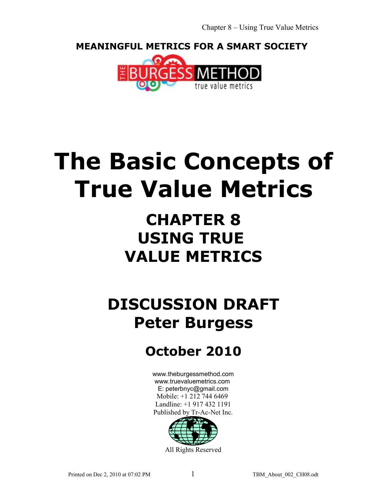**MEANINGFUL METRICS FOR A SMART SOCIETY** 



# **The Basic Concepts of True Value Metrics**

## **CHAPTER 8 USING TRUE VALUE METRICS**

## **DISCUSSION DRAFT Peter Burgess**

### **October 2010**

[www.theburgessmethod.com](http://www.theburgessmethod.com/) [www.truevaluemetrics.com](http://www.tr-ac-net.org/) E: peterbnyc@gmail.com Mobile: +1 212 744 6469 Landline: +1 917 432 1191 Published by Tr-Ac-Net Inc.



All Rights Reserved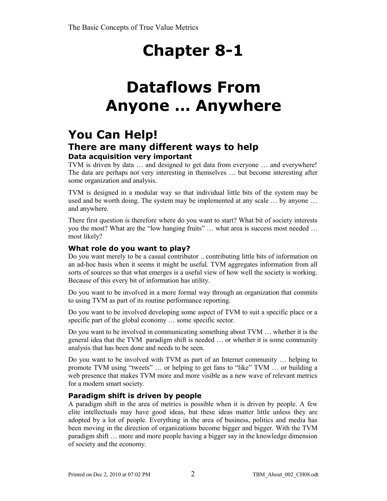## **Dataflows From Anyone … Anywhere**

### **You Can Help! There are many different ways to help Data acquisition very important**

TVM is driven by data … and designed to get data from everyone … and everywhere! The data are perhaps not very interesting in themselves … but become interesting after some organization and analysis.

TVM is designed in a modular way so that individual little bits of the system may be used and be worth doing. The system may be implemented at any scale … by anyone … and anywhere.

There first question is therefore where do you want to start? What bit of society interests you the most? What are the "low hanging fruits" … what area is success most needed … most likely?

#### **What role do you want to play?**

Do you want merely to be a casual contributor .. contributing little bits of information on an ad-hoc basis when it seems it might be useful. TVM aggregates information from all sorts of sources so that what emerges is a useful view of how well the society is working. Because of this every bit of information has utility.

Do you want to be involved in a more formal way through an organization that commits to using TVM as part of its routine performance reporting.

Do you want to be involved developing some aspect of TVM to suit a specific place or a specific part of the global economy … some specific sector.

Do you want to be involved in communicating something about TVM … whether it is the general idea that the TVM paradigm shift is needed … or whether it is some community analysis that has been done and needs to be seen.

Do you want to be involved with TVM as part of an Internet community … helping to promote TVM using "tweets" … or helping to get fans to "like" TVM … or building a web presence that makes TVM more and more visible as a new wave of relevant metrics for a modern smart society.

#### **Paradigm shift is driven by people**

A paradigm shift in the area of metrics is possible when it is driven by people. A few elite intellectuals may have good ideas, but these ideas matter little unless they are adopted by a lot of people. Everything in the area of business, politics and media has been moving in the direction of organizations become bigger and bigger. With the TVM paradigm shift … more and more people having a bigger say in the knowledge dimension of society and the economy.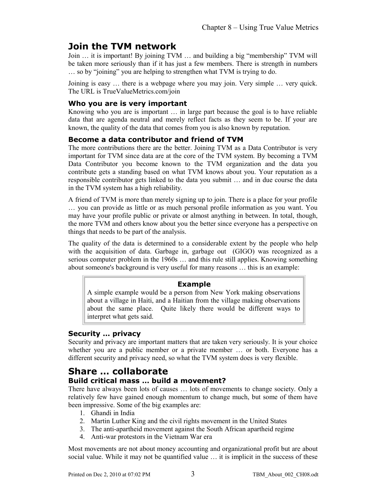### **Join the TVM network**

Join … it is important! By joining TVM … and building a big "membership" TVM will be taken more seriously than if it has just a few members. There is strength in numbers … so by "joining" you are helping to strengthen what TVM is trying to do.

Joining is easy … there is a webpage where you may join. Very simple … very quick. The URL is TrueValueMetrics.com/join

#### **Who you are is very important**

Knowing who you are is important … in large part because the goal is to have reliable data that are agenda neutral and merely reflect facts as they seem to be. If your are known, the quality of the data that comes from you is also known by reputation.

#### **Become a data contributor and friend of TVM**

The more contributions there are the better. Joining TVM as a Data Contributor is very important for TVM since data are at the core of the TVM system. By becoming a TVM Data Contributor you become known to the TVM organization and the data you contribute gets a standing based on what TVM knows about you. Your reputation as a responsible contributor gets linked to the data you submit … and in due course the data in the TVM system has a high reliability.

A friend of TVM is more than merely signing up to join. There is a place for your profile … you can provide as little or as much personal profile information as you want. You may have your profile public or private or almost anything in between. In total, though, the more TVM and others know about you the better since everyone has a perspective on things that needs to be part of the analysis.

The quality of the data is determined to a considerable extent by the people who help with the acquisition of data. Garbage in, garbage out (GIGO) was recognized as a serious computer problem in the 1960s … and this rule still applies. Knowing something about someone's background is very useful for many reasons … this is an example:

#### **Example**

A simple example would be a person from New York making observations about a village in Haiti, and a Haitian from the village making observations about the same place. Quite likely there would be different ways to interpret what gets said.

#### **Security … privacy**

Security and privacy are important matters that are taken very seriously. It is your choice whether you are a public member or a private member … or both. Everyone has a different security and privacy need, so what the TVM system does is very flexible.

### **Share … collaborate**

#### **Build critical mass … build a movement?**

There have always been lots of causes … lots of movements to change society. Only a relatively few have gained enough momentum to change much, but some of them have been impressive. Some of the big examples are:

- 1. Ghandi in India
- 2. Martin Luther King and the civil rights movement in the United States
- 3. The anti-apartheid movement against the South African apartheid regime
- 4. Anti-war protestors in the Vietnam War era

Most movements are not about money accounting and organizational profit but are about social value. While it may not be quantified value … it is implicit in the success of these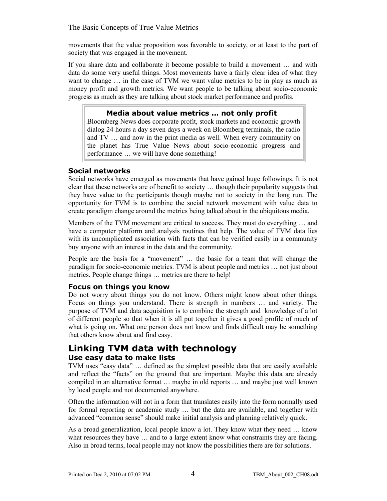#### The Basic Concepts of True Value Metrics

movements that the value proposition was favorable to society, or at least to the part of society that was engaged in the movement.

If you share data and collaborate it become possible to build a movement … and with data do some very useful things. Most movements have a fairly clear idea of what they want to change … in the case of TVM we want value metrics to be in play as much as money profit and growth metrics. We want people to be talking about socio-economic progress as much as they are talking about stock market performance and profits.

#### **Media about value metrics … not only profit**

Bloomberg News does corporate profit, stock markets and economic growth dialog 24 hours a day seven days a week on Bloomberg terminals, the radio and TV … and now in the print media as well. When every community on the planet has True Value News about socio-economic progress and performance … we will have done something!

#### **Social networks**

Social networks have emerged as movements that have gained huge followings. It is not clear that these networks are of benefit to society … though their popularity suggests that they have value to the participants though maybe not to society in the long run. The opportunity for TVM is to combine the social network movement with value data to create paradigm change around the metrics being talked about in the ubiquitous media.

Members of the TVM movement are critical to success. They must do everything … and have a computer platform and analysis routines that help. The value of TVM data lies with its uncomplicated association with facts that can be verified easily in a community buy anyone with an interest in the data and the community.

People are the basis for a "movement" … the basic for a team that will change the paradigm for socio-economic metrics. TVM is about people and metrics … not just about metrics. People change things … metrics are there to help!

#### **Focus on things you know**

Do not worry about things you do not know. Others might know about other things. Focus on things you understand. There is strength in numbers … and variety. The purpose of TVM and data acquisition is to combine the strength and knowledge of a lot of different people so that when it is all put together it gives a good profile of much of what is going on. What one person does not know and finds difficult may be something that others know about and find easy.

#### **Linking TVM data with technology Use easy data to make lists**

TVM uses "easy data" … defined as the simplest possible data that are easily available and reflect the "facts" on the ground that are important. Maybe this data are already compiled in an alternative format … maybe in old reports … and maybe just well known by local people and not documented anywhere.

Often the information will not in a form that translates easily into the form normally used for formal reporting or academic study … but the data are available, and together with advanced "common sense" should make initial analysis and planning relatively quick.

As a broad generalization, local people know a lot. They know what they need … know what resources they have ... and to a large extent know what constraints they are facing. Also in broad terms, local people may not know the possibilities there are for solutions.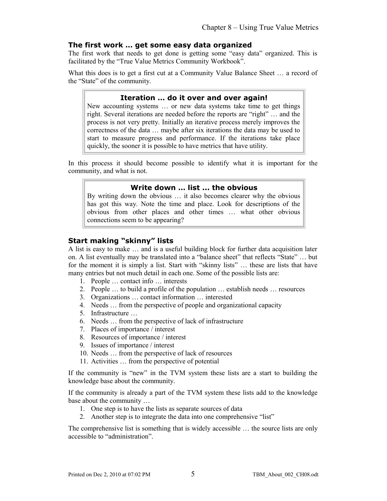#### **The first work … get some easy data organized**

The first work that needs to get done is getting some "easy data" organized. This is facilitated by the "True Value Metrics Community Workbook".

What this does is to get a first cut at a Community Value Balance Sheet … a record of the "State" of the community.

#### **Iteration … do it over and over again!**

New accounting systems … or new data systems take time to get things right. Several iterations are needed before the reports are "right" … and the process is not very pretty. Initially an iterative process merely improves the correctness of the data … maybe after six iterations the data may be used to start to measure progress and performance. If the iterations take place quickly, the sooner it is possible to have metrics that have utility.

In this process it should become possible to identify what it is important for the community, and what is not.

#### **Write down … list ... the obvious**

By writing down the obvious … it also becomes clearer why the obvious has got this way. Note the time and place. Look for descriptions of the obvious from other places and other times … what other obvious connections seem to be appearing?

#### **Start making "skinny" lists**

A list is easy to make … and is a useful building block for further data acquisition later on. A list eventually may be translated into a "balance sheet" that reflects "State" … but for the moment it is simply a list. Start with "skinny lists" … these are lists that have many entries but not much detail in each one. Some of the possible lists are:

- 1. People … contact info … interests
- 2. People … to build a profile of the population … establish needs … resources
- 3. Organizations … contact information … interested
- 4. Needs … from the perspective of people and organizational capacity
- 5. Infrastructure …
- 6. Needs … from the perspective of lack of infrastructure
- 7. Places of importance / interest
- 8. Resources of importance / interest
- 9. Issues of importance / interest
- 10. Needs … from the perspective of lack of resources
- 11. Activities … from the perspective of potential

If the community is "new" in the TVM system these lists are a start to building the knowledge base about the community.

If the community is already a part of the TVM system these lists add to the knowledge base about the community …

- 1. One step is to have the lists as separate sources of data
- 2. Another step is to integrate the data into one comprehensive "list"

The comprehensive list is something that is widely accessible … the source lists are only accessible to "administration".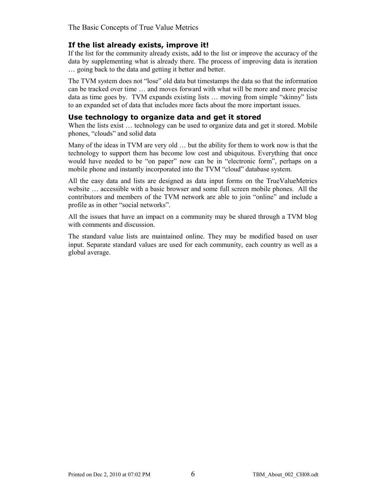The Basic Concepts of True Value Metrics

#### **If the list already exists, improve it!**

If the list for the community already exists, add to the list or improve the accuracy of the data by supplementing what is already there. The process of improving data is iteration … going back to the data and getting it better and better.

The TVM system does not "lose" old data but timestamps the data so that the information can be tracked over time … and moves forward with what will be more and more precise data as time goes by. TVM expands existing lists … moving from simple "skinny" lists to an expanded set of data that includes more facts about the more important issues.

#### **Use technology to organize data and get it stored**

When the lists exist ... technology can be used to organize data and get it stored. Mobile phones, "clouds" and solid data

Many of the ideas in TVM are very old … but the ability for them to work now is that the technology to support them has become low cost and ubiquitous. Everything that once would have needed to be "on paper" now can be in "electronic form", perhaps on a mobile phone and instantly incorporated into the TVM "cloud" database system.

All the easy data and lists are designed as data input forms on the TrueValueMetrics website … accessible with a basic browser and some full screen mobile phones. All the contributors and members of the TVM network are able to join "online" and include a profile as in other "social networks".

All the issues that have an impact on a community may be shared through a TVM blog with comments and discussion.

The standard value lists are maintained online. They may be modified based on user input. Separate standard values are used for each community, each country as well as a global average.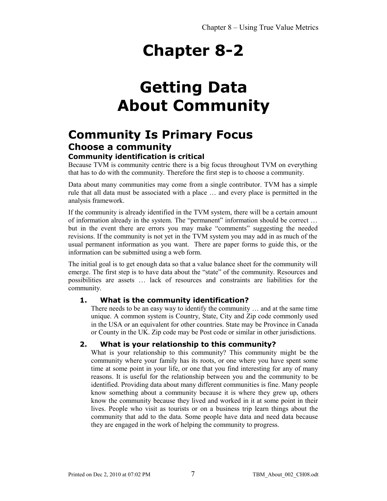### **Getting Data About Community**

### **Community Is Primary Focus Choose a community**

#### **Community identification is critical**

Because TVM is community centric there is a big focus throughout TVM on everything that has to do with the community. Therefore the first step is to choose a community.

Data about many communities may come from a single contributor. TVM has a simple rule that all data must be associated with a place … and every place is permitted in the analysis framework.

If the community is already identified in the TVM system, there will be a certain amount of information already in the system. The "permanent" information should be correct … but in the event there are errors you may make "comments" suggesting the needed revisions. If the community is not yet in the TVM system you may add in as much of the usual permanent information as you want. There are paper forms to guide this, or the information can be submitted using a web form.

The initial goal is to get enough data so that a value balance sheet for the community will emerge. The first step is to have data about the "state" of the community. Resources and possibilities are assets … lack of resources and constraints are liabilities for the community.

#### **1. What is the community identification?**

There needs to be an easy way to identify the community … and at the same time unique. A common system is Country, State, City and Zip code commonly used in the USA or an equivalent for other countries. State may be Province in Canada or County in the UK. Zip code may be Post code or similar in other jurisdictions.

#### **2. What is your relationship to this community?**

What is your relationship to this community? This community might be the community where your family has its roots, or one where you have spent some time at some point in your life, or one that you find interesting for any of many reasons. It is useful for the relationship between you and the community to be identified. Providing data about many different communities is fine. Many people know something about a community because it is where they grew up, others know the community because they lived and worked in it at some point in their lives. People who visit as tourists or on a business trip learn things about the community that add to the data. Some people have data and need data because they are engaged in the work of helping the community to progress.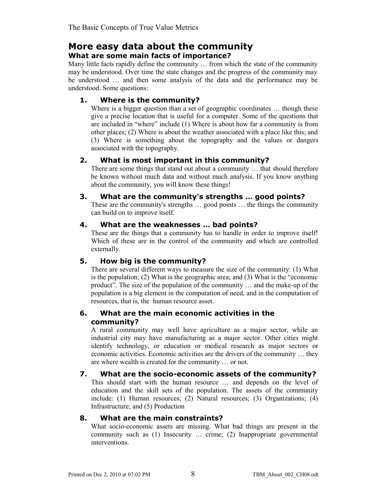### **More easy data about the community**

#### **What are some main facts of importance?**

Many little facts rapidly define the community … from which the state of the community may be understood. Over time the state changes and the progress of the community may be understood … and then some analysis of the data and the performance may be understood. Some questions:

#### **1. Where is the community?**

Where is a bigger question than a set of geographic coordinates ... though these give a precise location that is useful for a computer. Some of the questions that are included in "where" include (1) Where is about how far a community is from other places; (2) Where is about the weather associated with a place like this; and (3) Where is something about the topography and the values or dangers associated with the topography.

#### **2. What is most important in this community?**

There are some things that stand out about a community … that should therefore be known without much data and without much analysis. If you know anything about the community, you will know these things!

#### **3. What are the community's strengths … good points?**

These are the community's strengths … good points … the things the community can build on to improve itself.

#### **4. What are the weaknesses … bad points?**

These are the things that a community has to handle in order to improve itself! Which of these are in the control of the community and which are controlled externally.

#### **5. How big is the community?**

There are several different ways to measure the size of the community: (1) What is the population; (2) What is the geographic area; and (3) What is the "economic product". The size of the population of the community … and the make-up of the population is a big element in the computation of need, and in the computation of resources, that is, the human resource asset.

#### **6. What are the main economic activities in the community?**

A rural community may well have agriculture as a major sector, while an industrial city may have manufacturing as a major sector. Other cities might identify technology, or education or medical research as major sectors or economic activities. Economic activities are the drivers of the community … they are where wealth is created for the community … or not.

#### **7. What are the socio-economic assets of the community?**

This should start with the human resource … and depends on the level of education and the skill sets of the population. The assets of the community include: (1) Human resources; (2) Natural resources; (3) Organizations; (4) Infrastructure; and (5) Production

#### **8. What are the main constraints?**

What socio-economic assets are missing. What bad things are present in the community such as (1) Insecurity … crime; (2) Inappropriate governmental interventions.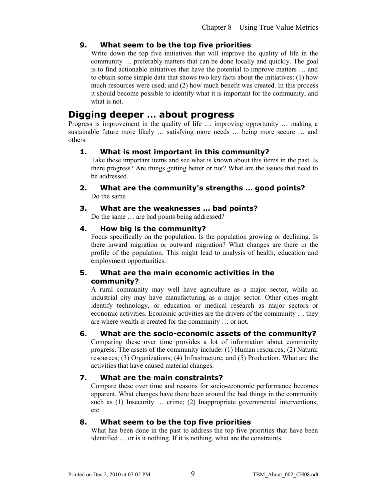#### **9. What seem to be the top five priorities**

Write down the top five initiatives that will improve the quality of life in the community … preferably matters that can be done locally and quickly. The goal is to find actionable initiatives that have the potential to improve matters … and to obtain some simple data that shows two key facts about the initiatives: (1) how much resources were used; and (2) how much benefit was created. In this process it should become possible to identify what it is important for the community, and what is not.

#### **Digging deeper … about progress**

Progress is improvement in the quality of life … improving opportunity … making a sustainable future more likely … satisfying more needs … being more secure … and others

#### **1. What is most important in this community?**

Take these important items and see what is known about this items in the past. Is there progress? Are things getting better or not? What are the issues that need to be addressed.

**2. What are the community's strengths … good points?**  Do the same

#### **3. What are the weaknesses … bad points?** Do the same … are bad points being addressed?

#### **4. How big is the community?**

Focus specifically on the population. Is the population growing or declining. Is there inward migration or outward migration? What changes are there in the profile of the population. This might lead to analysis of health, education and employment opportunities.

#### **5. What are the main economic activities in the community?**

A rural community may well have agriculture as a major sector, while an industrial city may have manufacturing as a major sector. Other cities might identify technology, or education or medical research as major sectors or economic activities. Economic activities are the drivers of the community … they are where wealth is created for the community … or not.

#### **6. What are the socio-economic assets of the community?**

Comparing these over time provides a lot of information about community progress. The assets of the community include: (1) Human resources; (2) Natural resources; (3) Organizations; (4) Infrastructure; and (5) Production. What are the activities that have caused material changes.

#### **7. What are the main constraints?**

Compare these over time and reasons for socio-economic performance becomes apparent. What changes have there been around the bad things in the community such as (1) Insecurity ... crime; (2) Inappropriate governmental interventions; etc.

#### **8. What seem to be the top five priorities**

What has been done in the past to address the top five priorities that have been identified … or is it nothing. If it is nothing, what are the constraints.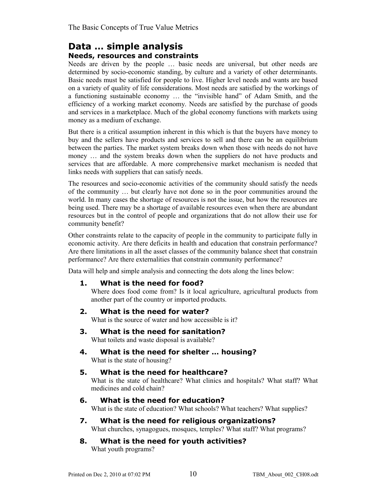#### **Data … simple analysis Needs, resources and constraints**

Needs are driven by the people … basic needs are universal, but other needs are determined by socio-economic standing, by culture and a variety of other determinants. Basic needs must be satisfied for people to live. Higher level needs and wants are based on a variety of quality of life considerations. Most needs are satisfied by the workings of a functioning sustainable economy … the "invisible hand" of Adam Smith, and the efficiency of a working market economy. Needs are satisfied by the purchase of goods and services in a marketplace. Much of the global economy functions with markets using money as a medium of exchange.

But there is a critical assumption inherent in this which is that the buyers have money to buy and the sellers have products and services to sell and there can be an equilibrium between the parties. The market system breaks down when those with needs do not have money … and the system breaks down when the suppliers do not have products and services that are affordable. A more comprehensive market mechanism is needed that links needs with suppliers that can satisfy needs.

The resources and socio-economic activities of the community should satisfy the needs of the community … but clearly have not done so in the poor communities around the world. In many cases the shortage of resources is not the issue, but how the resources are being used. There may be a shortage of available resources even when there are abundant resources but in the control of people and organizations that do not allow their use for community benefit?

Other constraints relate to the capacity of people in the community to participate fully in economic activity. Are there deficits in health and education that constrain performance? Are there limitations in all the asset classes of the community balance sheet that constrain performance? Are there externalities that constrain community performance?

Data will help and simple analysis and connecting the dots along the lines below:

#### **1. What is the need for food?**

Where does food come from? Is it local agriculture, agricultural products from another part of the country or imported products.

#### **2. What is the need for water?**

What is the source of water and how accessible is it?

#### **3. What is the need for sanitation?**

What toilets and waste disposal is available?

**4. What is the need for shelter … housing?**  What is the state of housing?

#### **5. What is the need for healthcare?**

What is the state of healthcare? What clinics and hospitals? What staff? What medicines and cold chain?

#### **6. What is the need for education?**

What is the state of education? What schools? What teachers? What supplies?

### **7. What is the need for religious organizations?**

What churches, synagogues, mosques, temples? What staff? What programs?

#### **8. What is the need for youth activities?** What youth programs?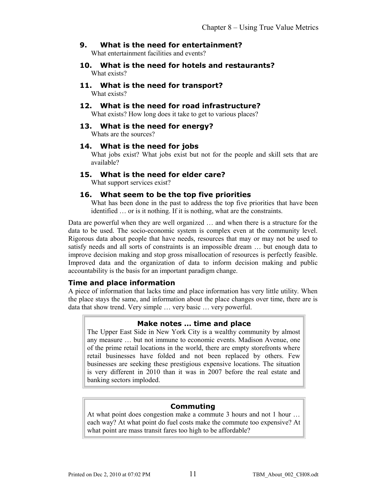#### **9. What is the need for entertainment?** What entertainment facilities and events?

- **10. What is the need for hotels and restaurants?** What exists?
- **11. What is the need for transport?** What exists?
- **12. What is the need for road infrastructure?**  What exists? How long does it take to get to various places?
- **13. What is the need for energy?**

Whats are the sources?

#### **14. What is the need for jobs**

What jobs exist? What jobs exist but not for the people and skill sets that are available?

#### **15. What is the need for elder care?**

What support services exist?

#### **16. What seem to be the top five priorities**

What has been done in the past to address the top five priorities that have been identified … or is it nothing. If it is nothing, what are the constraints.

Data are powerful when they are well organized … and when there is a structure for the data to be used. The socio-economic system is complex even at the community level. Rigorous data about people that have needs, resources that may or may not be used to satisfy needs and all sorts of constraints is an impossible dream … but enough data to improve decision making and stop gross misallocation of resources is perfectly feasible. Improved data and the organization of data to inform decision making and public accountability is the basis for an important paradigm change.

#### **Time and place information**

A piece of information that lacks time and place information has very little utility. When the place stays the same, and information about the place changes over time, there are is data that show trend. Very simple … very basic … very powerful.

#### **Make notes … time and place**

The Upper East Side in New York City is a wealthy community by almost any measure … but not immune to economic events. Madison Avenue, one of the prime retail locations in the world, there are empty storefronts where retail businesses have folded and not been replaced by others. Few businesses are seeking these prestigious expensive locations. The situation is very different in 2010 than it was in 2007 before the real estate and banking sectors imploded.

#### **Commuting**

At what point does congestion make a commute 3 hours and not 1 hour … each way? At what point do fuel costs make the commute too expensive? At what point are mass transit fares too high to be affordable?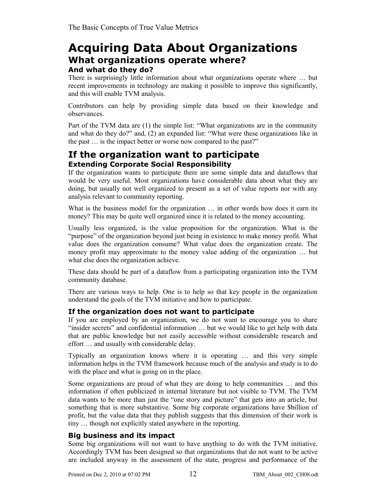### **Acquiring Data About Organizations What organizations operate where? And what do they do?**

There is surprisingly little information about what organizations operate where … but recent improvements in technology are making it possible to improve this significantly, and this will enable TVM analysis.

Contributors can help by providing simple data based on their knowledge and observances.

Part of the TVM data are (1) the simple list: "What organizations are in the community and what do they do?" and, (2) an expanded list: "What were these organizations like in the past … is the impact better or worse now compared to the past?"

#### **If the organization want to participate Extending Corporate Social Responsibility**

If the organization wants to participate there are some simple data and dataflows that would be very useful. Most organizations have considerable data about what they are doing, but usually not well organized to present as a set of value reports nor with any analysis relevant to community reporting.

What is the business model for the organization ... in other words how does it earn its money? This may be quite well organized since it is related to the money accounting.

Usually less organized, is the value proposition for the organization. What is the "purpose" of the organization beyond just being in existence to make money profit. What value does the organization consume? What value does the organization create. The money profit may approximate to the money value adding of the organization … but what else does the organization achieve.

These data should be part of a dataflow from a participating organization into the TVM community database.

There are various ways to help. One is to help so that key people in the organization understand the goals of the TVM initiative and how to participate.

#### **If the organization does not want to participate**

If you are employed by an organization, we do not want to encourage you to share "insider secrets" and confidential information … but we would like to get help with data that are public knowledge but not easily accessible without considerable research and effort … and usually with considerable delay.

Typically an organization knows where it is operating … and this very simple information helps in the TVM framework because much of the analysis and study is to do with the place and what is going on in the place.

Some organizations are proud of what they are doing to help communities … and this information if often publicized in internal literature but not visible to TVM. The TVM data wants to be more than just the "one story and picture" that gets into an article, but something that is more substantive. Some big corporate organizations have \$billion of profit, but the value data that they publish suggests that this dimension of their work is tiny … though not explicitly stated anywhere in the reporting.

#### **Big business and its impact**

Some big organizations will not want to have anything to do with the TVM initiative. Accordingly TVM has been designed so that organizations that do not want to be active are included anyway in the assessment of the state, progress and performance of the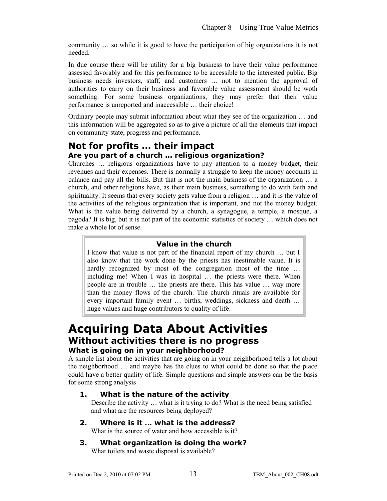community … so while it is good to have the participation of big organizations it is not needed.

In due course there will be utility for a big business to have their value performance assessed favorably and for this performance to be accessible to the interested public. Big business needs investors, staff, and customers … not to mention the approval of authorities to carry on their business and favorable value assessment should be woth something. For some business organizations, they may prefer that their value performance is unreported and inaccessible … their choice!

Ordinary people may submit information about what they see of the organization … and this information will be aggregated so as to give a picture of all the elements that impact on community state, progress and performance.

#### **Not for profits … their impact Are you part of a church … religious organization?**

Churches … religious organizations have to pay attention to a money budget, their revenues and their expenses. There is normally a struggle to keep the money accounts in balance and pay all the bills. But that is not the main business of the organization … a church, and other religions have, as their main business, something to do with faith and spirituality. It seems that every society gets value from a religion … and it is the value of the activities of the religious organization that is important, and not the money budget. What is the value being delivered by a church, a synagogue, a temple, a mosque, a pagoda? It is big, but it is not part of the economic statistics of society … which does not make a whole lot of sense.

#### **Value in the church**

I know that value is not part of the financial report of my church … but I also know that the work done by the priests has inestimable value. It is hardly recognized by most of the congregation most of the time ... including me! When I was in hospital … the priests were there. When people are in trouble … the priests are there. This has value … way more than the money flows of the church. The church rituals are available for every important family event … births, weddings, sickness and death … huge values and huge contributors to quality of life.

### **Acquiring Data About Activities Without activities there is no progress What is going on in your neighborhood?**

A simple list about the activities that are going on in your neighborhood tells a lot about the neighborhood … and maybe has the clues to what could be done so that the place could have a better quality of life. Simple questions and simple answers can be the basis for some strong analysis

#### **1. What is the nature of the activity**

Describe the activity … what is it trying to do? What is the need being satisfied and what are the resources being deployed?

**2. Where is it … what is the address?**

What is the source of water and how accessible is it?

**3. What organization is doing the work?** 

What toilets and waste disposal is available?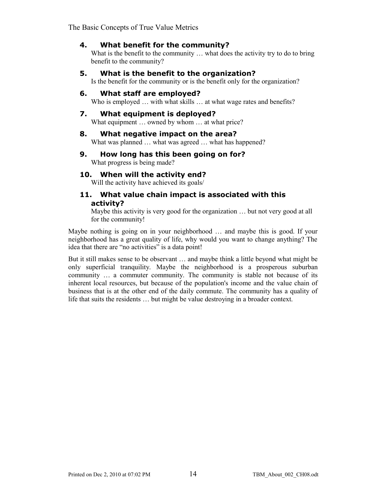The Basic Concepts of True Value Metrics

#### **4. What benefit for the community?**

What is the benefit to the community ... what does the activity try to do to bring benefit to the community?

#### **5. What is the benefit to the organization?**

Is the benefit for the community or is the benefit only for the organization?

#### **6. What staff are employed?**

Who is employed ... with what skills ... at what wage rates and benefits?

#### **7. What equipment is deployed?**

What equipment ... owned by whom ... at what price?

#### **8. What negative impact on the area?**  What was planned ... what was agreed ... what has happened?

**9. How long has this been going on for?** What progress is being made?

#### **10. When will the activity end?**

Will the activity have achieved its goals/

#### **11. What value chain impact is associated with this activity?**

Maybe this activity is very good for the organization ... but not very good at all for the community!

Maybe nothing is going on in your neighborhood … and maybe this is good. If your neighborhood has a great quality of life, why would you want to change anything? The idea that there are "no activities" is a data point!

But it still makes sense to be observant … and maybe think a little beyond what might be only superficial tranquility. Maybe the neighborhood is a prosperous suburban community ... a commuter community. The community is stable not because of its inherent local resources, but because of the population's income and the value chain of business that is at the other end of the daily commute. The community has a quality of life that suits the residents … but might be value destroying in a broader context.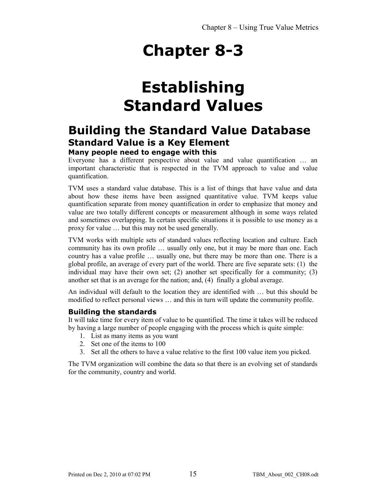## **Establishing Standard Values**

### **Building the Standard Value Database Standard Value is a Key Element Many people need to engage with this**

Everyone has a different perspective about value and value quantification … an important characteristic that is respected in the TVM approach to value and value quantification.

TVM uses a standard value database. This is a list of things that have value and data about how these items have been assigned quantitative value. TVM keeps value quantification separate from money quantification in order to emphasize that money and value are two totally different concepts or measurement although in some ways related and sometimes overlapping. In certain specific situations it is possible to use money as a proxy for value … but this may not be used generally.

TVM works with multiple sets of standard values reflecting location and culture. Each community has its own profile … usually only one, but it may be more than one. Each country has a value profile … usually one, but there may be more than one. There is a global profile, an average of every part of the world. There are five separate sets: (1) the individual may have their own set; (2) another set specifically for a community; (3) another set that is an average for the nation; and, (4) finally a global average.

An individual will default to the location they are identified with … but this should be modified to reflect personal views … and this in turn will update the community profile.

#### **Building the standards**

It will take time for every item of value to be quantified. The time it takes will be reduced by having a large number of people engaging with the process which is quite simple:

- 1. List as many items as you want
- 2. Set one of the items to 100
- 3. Set all the others to have a value relative to the first 100 value item you picked.

The TVM organization will combine the data so that there is an evolving set of standards for the community, country and world.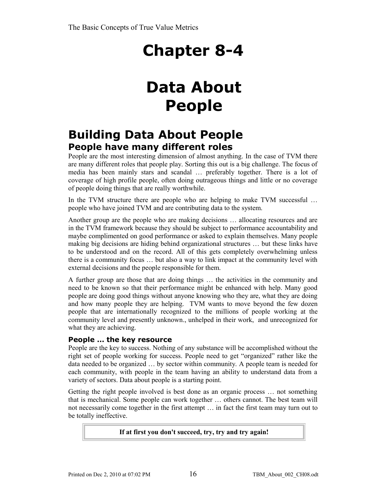## **Data About People**

### **Building Data About People People have many different roles**

People are the most interesting dimension of almost anything. In the case of TVM there are many different roles that people play. Sorting this out is a big challenge. The focus of media has been mainly stars and scandal … preferably together. There is a lot of coverage of high profile people, often doing outrageous things and little or no coverage of people doing things that are really worthwhile.

In the TVM structure there are people who are helping to make TVM successful ... people who have joined TVM and are contributing data to the system.

Another group are the people who are making decisions … allocating resources and are in the TVM framework because they should be subject to performance accountability and maybe complimented on good performance or asked to explain themselves. Many people making big decisions are hiding behind organizational structures … but these links have to be understood and on the record. All of this gets completely overwhelming unless there is a community focus … but also a way to link impact at the community level with external decisions and the people responsible for them.

A further group are those that are doing things … the activities in the community and need to be known so that their performance might be enhanced with help. Many good people are doing good things without anyone knowing who they are, what they are doing and how many people they are helping. TVM wants to move beyond the few dozen people that are internationally recognized to the millions of people working at the community level and presently unknown., unhelped in their work, and unrecognized for what they are achieving.

#### **People … the key resource**

People are the key to success. Nothing of any substance will be accomplished without the right set of people working for success. People need to get "organized" rather like the data needed to be organized … by sector within community. A people team is needed for each community, with people in the team having an ability to understand data from a variety of sectors. Data about people is a starting point.

Getting the right people involved is best done as an organic process … not something that is mechanical. Some people can work together … others cannot. The best team will not necessarily come together in the first attempt … in fact the first team may turn out to be totally ineffective.

#### **If at first you don't succeed, try, try and try again!**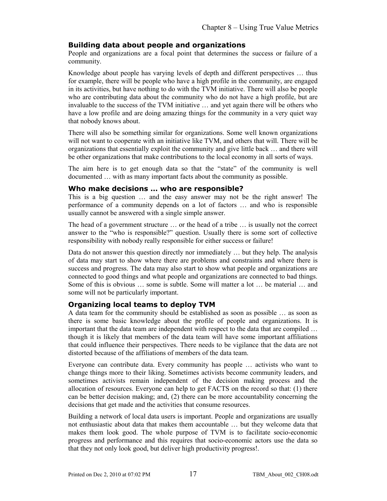#### **Building data about people and organizations**

People and organizations are a focal point that determines the success or failure of a community.

Knowledge about people has varying levels of depth and different perspectives … thus for example, there will be people who have a high profile in the community, are engaged in its activities, but have nothing to do with the TVM initiative. There will also be people who are contributing data about the community who do not have a high profile, but are invaluable to the success of the TVM initiative … and yet again there will be others who have a low profile and are doing amazing things for the community in a very quiet way that nobody knows about.

There will also be something similar for organizations. Some well known organizations will not want to cooperate with an initiative like TVM, and others that will. There will be organizations that essentially exploit the community and give little back … and there will be other organizations that make contributions to the local economy in all sorts of ways.

The aim here is to get enough data so that the "state" of the community is well documented … with as many important facts about the community as possible.

#### **Who make decisions … who are responsible?**

This is a big question … and the easy answer may not be the right answer! The performance of a community depends on a lot of factors … and who is responsible usually cannot be answered with a single simple answer.

The head of a government structure … or the head of a tribe … is usually not the correct answer to the "who is responsible?" question. Usually there is some sort of collective responsibility with nobody really responsible for either success or failure!

Data do not answer this question directly nor immediately … but they help. The analysis of data may start to show where there are problems and constraints and where there is success and progress. The data may also start to show what people and organizations are connected to good things and what people and organizations are connected to bad things. Some of this is obvious … some is subtle. Some will matter a lot … be material … and some will not be particularly important.

#### **Organizing local teams to deploy TVM**

A data team for the community should be established as soon as possible … as soon as there is some basic knowledge about the profile of people and organizations. It is important that the data team are independent with respect to the data that are compiled … though it is likely that members of the data team will have some important affiliations that could influence their perspectives. There needs to be vigilance that the data are not distorted because of the affiliations of members of the data team.

Everyone can contribute data. Every community has people … activists who want to change things more to their liking. Sometimes activists become community leaders, and sometimes activists remain independent of the decision making process and the allocation of resources. Everyone can help to get FACTS on the record so that: (1) there can be better decision making; and, (2) there can be more accountability concerning the decisions that get made and the activities that consume resources.

Building a network of local data users is important. People and organizations are usually not enthusiastic about data that makes them accountable … but they welcome data that makes them look good. The whole purpose of TVM is to facilitate socio-economic progress and performance and this requires that socio-economic actors use the data so that they not only look good, but deliver high productivity progress!.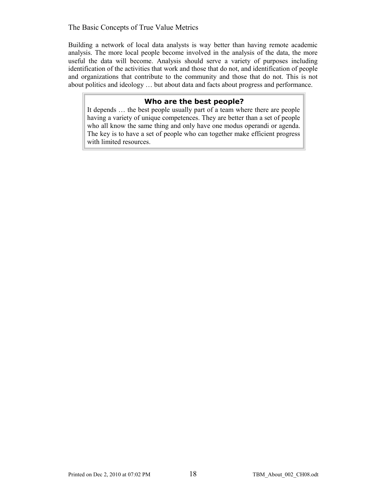#### The Basic Concepts of True Value Metrics

Building a network of local data analysts is way better than having remote academic analysis. The more local people become involved in the analysis of the data, the more useful the data will become. Analysis should serve a variety of purposes including identification of the activities that work and those that do not, and identification of people and organizations that contribute to the community and those that do not. This is not about politics and ideology … but about data and facts about progress and performance.

#### **Who are the best people?**

It depends … the best people usually part of a team where there are people having a variety of unique competences. They are better than a set of people who all know the same thing and only have one modus operandi or agenda. The key is to have a set of people who can together make efficient progress with limited resources.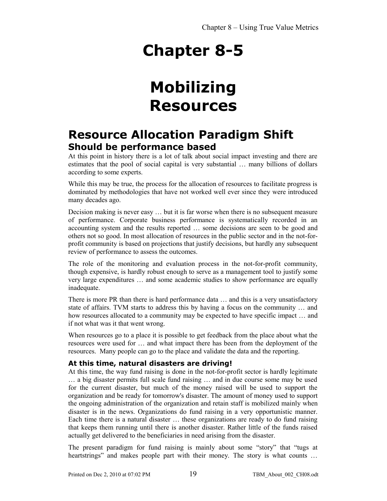## **Mobilizing Resources**

### **Resource Allocation Paradigm Shift Should be performance based**

At this point in history there is a lot of talk about social impact investing and there are estimates that the pool of social capital is very substantial … many billions of dollars according to some experts.

While this may be true, the process for the allocation of resources to facilitate progress is dominated by methodologies that have not worked well ever since they were introduced many decades ago.

Decision making is never easy … but it is far worse when there is no subsequent measure of performance. Corporate business performance is systematically recorded in an accounting system and the results reported … some decisions are seen to be good and others not so good. In most allocation of resources in the public sector and in the not-forprofit community is based on projections that justify decisions, but hardly any subsequent review of performance to assess the outcomes.

The role of the monitoring and evaluation process in the not-for-profit community, though expensive, is hardly robust enough to serve as a management tool to justify some very large expenditures … and some academic studies to show performance are equally inadequate.

There is more PR than there is hard performance data … and this is a very unsatisfactory state of affairs. TVM starts to address this by having a focus on the community … and how resources allocated to a community may be expected to have specific impact … and if not what was it that went wrong.

When resources go to a place it is possible to get feedback from the place about what the resources were used for … and what impact there has been from the deployment of the resources. Many people can go to the place and validate the data and the reporting.

#### **At this time, natural disasters are driving!**

At this time, the way fund raising is done in the not-for-profit sector is hardly legitimate … a big disaster permits full scale fund raising … and in due course some may be used for the current disaster, but much of the money raised will be used to support the organization and be ready for tomorrow's disaster. The amount of money used to support the ongoing administration of the organization and retain staff is mobilized mainly when disaster is in the news. Organizations do fund raising in a very opportunistic manner. Each time there is a natural disaster … these organizations are ready to do fund raising that keeps them running until there is another disaster. Rather little of the funds raised actually get delivered to the beneficiaries in need arising from the disaster.

The present paradigm for fund raising is mainly about some "story" that "tugs at heartstrings" and makes people part with their money. The story is what counts ...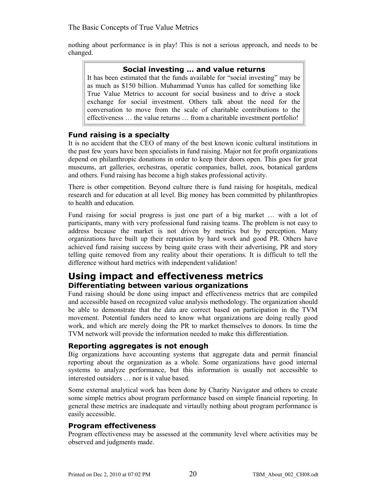nothing about performance is in play! This is not a serious approach, and needs to be changed.

#### **Social investing … and value returns**

It has been estimated that the funds available for "social investing" may be as much as \$150 billion. Muhammad Yunus has called for something like True Value Metrics to account for social business and to drive a stock exchange for social investment. Others talk about the need for the conversation to move from the scale of charitable contributions to the effectiveness … the value returns … from a charitable investment portfolio!

#### **Fund raising is a specialty**

It is no accident that the CEO of many of the best known iconic cultural institutions in the past few years have been specialists in fund raising. Major not for profit organizations depend on philanthropic donations in order to keep their doors open. This goes for great museums, art galleries, orchestras, operatic companies, ballet, zoos, botanical gardens and others. Fund raising has become a high stakes professional activity.

There is other competition. Beyond culture there is fund raising for hospitals, medical research and for education at all level. Big money has been committed by philanthropies to health and education.

Fund raising for social progress is just one part of a big market … with a lot of participants, many with very professional fund raising teams. The problem is not easy to address because the market is not driven by metrics but by perception. Many organizations have built up their reputation by hard work and good PR. Others have achieved fund raising success by being quite crass with their advertising, PR and story telling quite removed from any reality about their operations. It is difficult to tell the difference without hard metrics with independent validation!

#### **Using impact and effectiveness metrics Differentiating between various organizations**

Fund raising should be done using impact and effectiveness metrics that are compiled and accessible based on recognized value analysis methodology. The organization should be able to demonstrate that the data are correct based on participation in the TVM movement. Potential funders need to know what organizations are doing really good work, and which are merely doing the PR to market themselves to donors. In time the TVM network will provide the information needed to make this differentiation.

#### **Reporting aggregates is not enough**

Big organizations have accounting systems that aggregate data and permit financial reporting about the organization as a whole. Some organizations have good internal systems to analyze performance, but this information is usually not accessible to interested outsiders … nor is it value based.

Some external analytical work has been done by Charity Navigator and others to create some simple metrics about program performance based on simple financial reporting. In general these metrics are inadequate and virtaully nothing about program performance is easily accessible.

#### **Program effectiveness**

Program effectiveness may be assessed at the community level where activities may be observed and judgments made.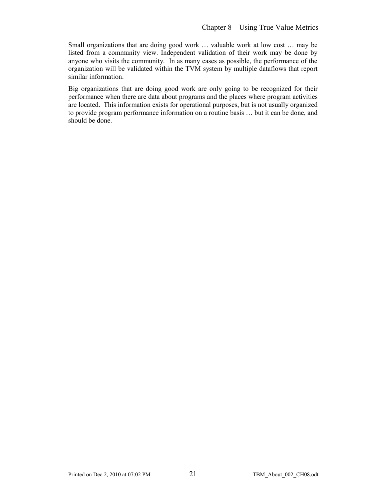Small organizations that are doing good work … valuable work at low cost … may be listed from a community view. Independent validation of their work may be done by anyone who visits the community. In as many cases as possible, the performance of the organization will be validated within the TVM system by multiple dataflows that report similar information.

Big organizations that are doing good work are only going to be recognized for their performance when there are data about programs and the places where program activities are located. This information exists for operational purposes, but is not usually organized to provide program performance information on a routine basis … but it can be done, and should be done.